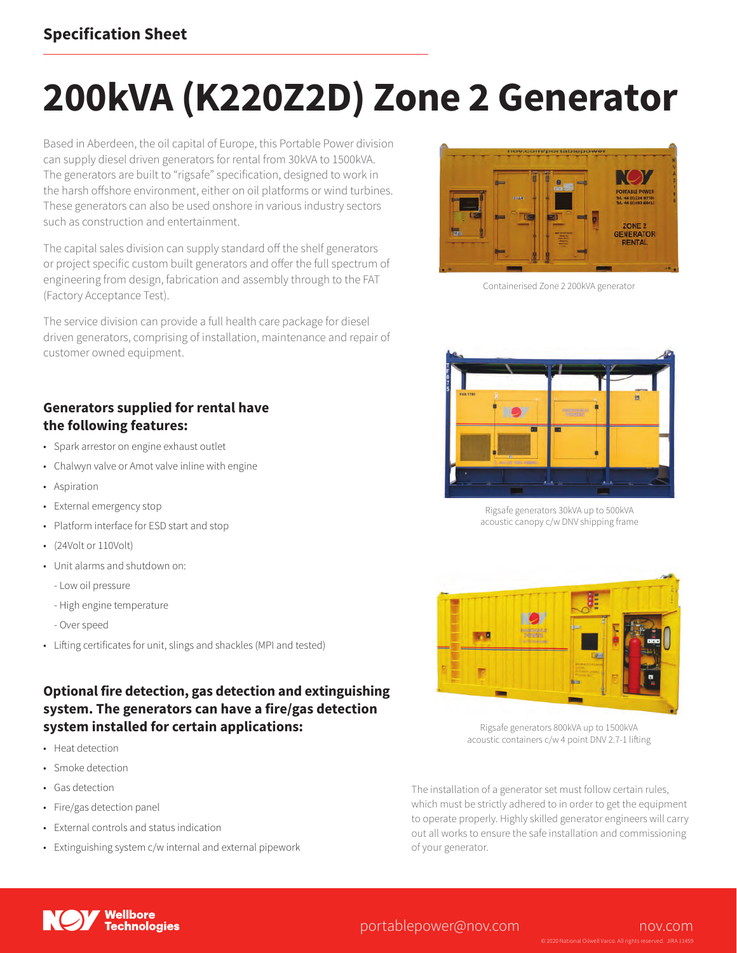### **Specification Sheet**

# **200kVA (K220Z2D) Zone 2 Generator**

Based in Aberdeen, the oil capital of Europe, this Portable Power division can supply diesel driven generators for rental from 30kVA to 1500kVA. The generators are built to "rigsafe" specification, designed to work in the harsh offshore environment, either on oil platforms or wind turbines. These generators can also be used onshore in various industry sectors such as construction and entertainment.

The capital sales division can supply standard off the shelf generators or project specific custom built generators and offer the full spectrum of engineering from design, fabrication and assembly through to the FAT (Factory Acceptance Test).

The service division can provide a full health care package for diesel driven generators, comprising of installation, maintenance and repair of customer owned equipment.



Containerised Zone 2 200kVA generator

#### **Generators supplied for rental have the following features:**

- Spark arrestor on engine exhaust outlet
- Chalwyn valve or Amot valve inline with engine
- Aspiration
- External emergency stop
- Platform interface for ESD start and stop
- (24Volt or 110Volt)
- Unit alarms and shutdown on:
	- Low oil pressure
	- High engine temperature
	- Over speed
- Lifting certificates for unit, slings and shackles (MPI and tested)

#### **Optional fire detection, gas detection and extinguishing system. The generators can have a fire/gas detection system installed for certain applications:**

- Heat detection
- Smoke detection
- Gas detection
- Fire/gas detection panel
- External controls and status indication
- Extinguishing system c/w internal and external pipework



Rigsafe generators 30kVA up to 500kVA acoustic canopy c/w DNV shipping frame



Rigsafe generators 800kVA up to 1500kVA acoustic containers c/w 4 point DNV 2.7-1 lifting

The installation of a generator set must follow certain rules, which must be strictly adhered to in order to get the equipment to operate properly. Highly skilled generator engineers will carry out all works to ensure the safe installation and commissioning of your generator.



#### portablepower@nov.com nov.com